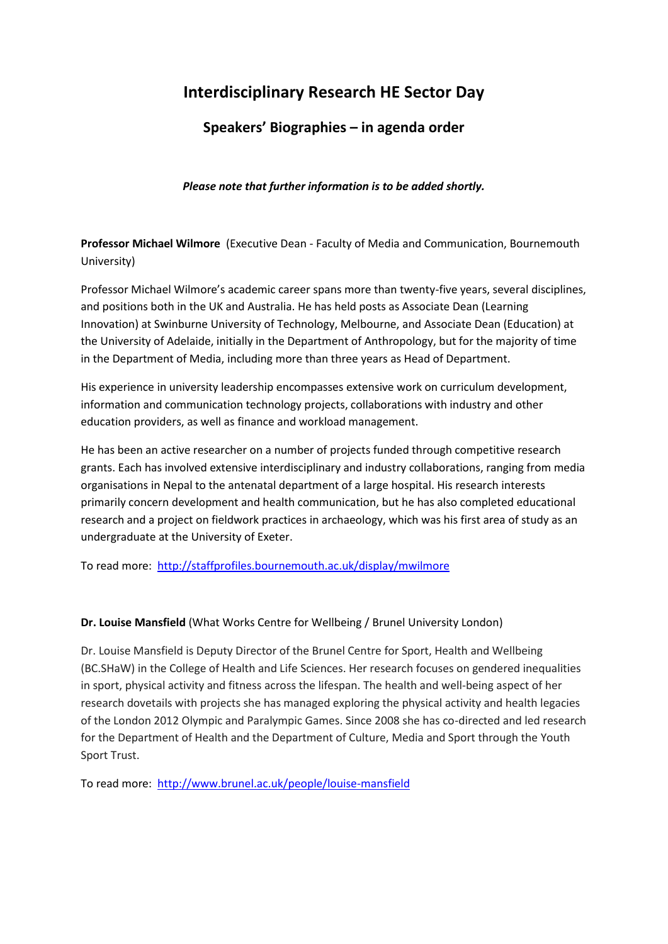# **Interdisciplinary Research HE Sector Day**

# **Speakers' Biographies – in agenda order**

*Please note that further information is to be added shortly.*

**Professor Michael Wilmore** (Executive Dean - Faculty of Media and Communication, Bournemouth University)

Professor Michael Wilmore's academic career spans more than twenty-five years, several disciplines, and positions both in the UK and Australia. He has held posts as Associate Dean (Learning Innovation) at Swinburne University of Technology, Melbourne, and Associate Dean (Education) at the University of Adelaide, initially in the Department of Anthropology, but for the majority of time in the Department of Media, including more than three years as Head of Department.

His experience in university leadership encompasses extensive work on curriculum development, information and communication technology projects, collaborations with industry and other education providers, as well as finance and workload management.

He has been an active researcher on a number of projects funded through competitive research grants. Each has involved extensive interdisciplinary and industry collaborations, ranging from media organisations in Nepal to the antenatal department of a large hospital. His research interests primarily concern development and health communication, but he has also completed educational research and a project on fieldwork practices in archaeology, which was his first area of study as an undergraduate at the University of Exeter.

To read more: <http://staffprofiles.bournemouth.ac.uk/display/mwilmore>

# **Dr. Louise Mansfield** (What Works Centre for Wellbeing / Brunel University London)

Dr. Louise Mansfield is Deputy Director of the Brunel Centre for Sport, Health and Wellbeing (BC.SHaW) in the College of Health and Life Sciences. Her research focuses on gendered inequalities in sport, physical activity and fitness across the lifespan. The health and well-being aspect of her research dovetails with projects she has managed exploring the physical activity and health legacies of the London 2012 Olympic and Paralympic Games. Since 2008 she has co-directed and led research for the Department of Health and the Department of Culture, Media and Sport through the Youth Sport Trust.

To read more: <http://www.brunel.ac.uk/people/louise-mansfield>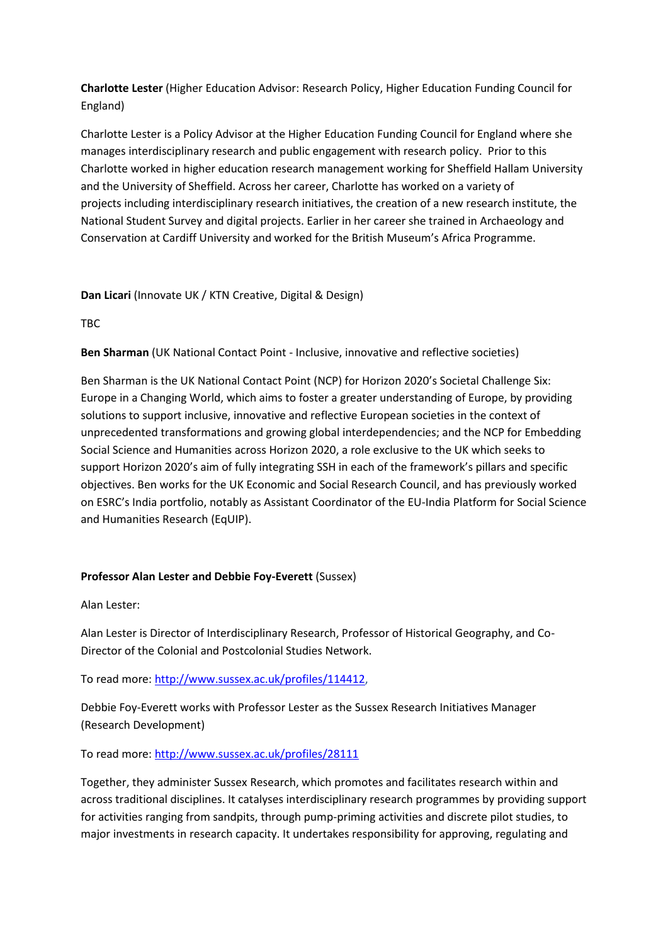**Charlotte Lester** (Higher Education Advisor: Research Policy, Higher Education Funding Council for England)

Charlotte Lester is a Policy Advisor at the Higher Education Funding Council for England where she manages interdisciplinary research and public engagement with research policy. Prior to this Charlotte worked in higher education research management working for Sheffield Hallam University and the University of Sheffield. Across her career, Charlotte has worked on a variety of projects including interdisciplinary research initiatives, the creation of a new research institute, the National Student Survey and digital projects. Earlier in her career she trained in Archaeology and Conservation at Cardiff University and worked for the British Museum's Africa Programme.

# **Dan Licari** (Innovate UK / KTN Creative, Digital & Design)

TBC

**Ben Sharman** (UK National Contact Point - Inclusive, innovative and reflective societies)

Ben Sharman is the UK National Contact Point (NCP) for Horizon 2020's Societal Challenge Six: Europe in a Changing World, which aims to foster a greater understanding of Europe, by providing solutions to support inclusive, innovative and reflective European societies in the context of unprecedented transformations and growing global interdependencies; and the NCP for Embedding Social Science and Humanities across Horizon 2020, a role exclusive to the UK which seeks to support Horizon 2020's aim of fully integrating SSH in each of the framework's pillars and specific objectives. Ben works for the UK Economic and Social Research Council, and has previously worked on ESRC's India portfolio, notably as Assistant Coordinator of the EU-India Platform for Social Science and Humanities Research (EqUIP).

# **Professor Alan Lester and Debbie Foy-Everett** (Sussex)

Alan Lester:

Alan Lester is Director of Interdisciplinary Research, Professor of Historical Geography, and Co-Director of the Colonial and Postcolonial Studies Network.

To read more: [http://www.sussex.ac.uk/profiles/114412,](http://www.sussex.ac.uk/profiles/114412)

Debbie Foy-Everett works with Professor Lester as the Sussex Research Initiatives Manager (Research Development)

To read more:<http://www.sussex.ac.uk/profiles/28111>

Together, they administer Sussex Research, which promotes and facilitates research within and across traditional disciplines. It catalyses interdisciplinary research programmes by providing support for activities ranging from sandpits, through pump-priming activities and discrete pilot studies, to major investments in research capacity. It undertakes responsibility for approving, regulating and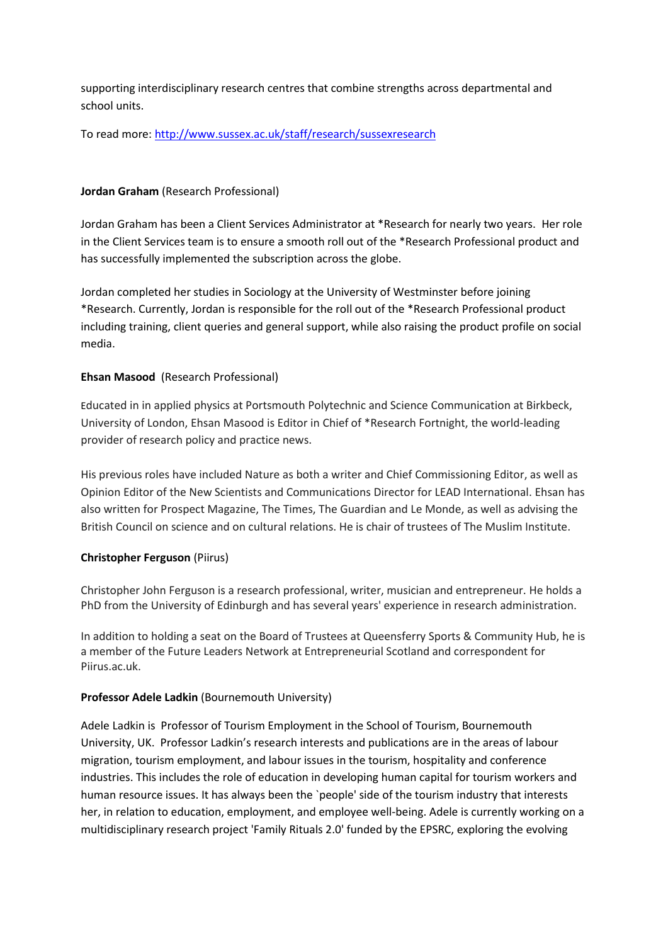supporting interdisciplinary research centres that combine strengths across departmental and school units.

To read more: <http://www.sussex.ac.uk/staff/research/sussexresearch>

## **Jordan Graham** (Research Professional)

Jordan Graham has been a Client Services Administrator at \*Research for nearly two years. Her role in the Client Services team is to ensure a smooth roll out of the \*Research Professional product and has successfully implemented the subscription across the globe.

Jordan completed her studies in Sociology at the University of Westminster before joining \*Research. Currently, Jordan is responsible for the roll out of the \*Research Professional product including training, client queries and general support, while also raising the product profile on social media.

#### **Ehsan Masood** (Research Professional)

Educated in in applied physics at Portsmouth Polytechnic and Science Communication at Birkbeck, University of London, Ehsan Masood is Editor in Chief of \*Research Fortnight, the world-leading provider of research policy and practice news.

His previous roles have included Nature as both a writer and Chief Commissioning Editor, as well as Opinion Editor of the New Scientists and Communications Director for LEAD International. Ehsan has also written for Prospect Magazine, The Times, The Guardian and Le Monde, as well as advising the British Council on science and on cultural relations. He is chair of trustees of The Muslim Institute.

#### **Christopher Ferguson** (Piirus)

Christopher John Ferguson is a research professional, writer, musician and entrepreneur. He holds a PhD from the University of Edinburgh and has several years' experience in research administration.

In addition to holding a seat on the Board of Trustees at Queensferry Sports & Community Hub, he is a member of the Future Leaders Network at Entrepreneurial Scotland and correspondent for Piirus.ac.uk.

#### **Professor Adele Ladkin** (Bournemouth University)

Adele Ladkin is Professor of Tourism Employment in the School of Tourism, Bournemouth University, UK. Professor Ladkin's research interests and publications are in the areas of labour migration, tourism employment, and labour issues in the tourism, hospitality and conference industries. This includes the role of education in developing human capital for tourism workers and human resource issues. It has always been the `people' side of the tourism industry that interests her, in relation to education, employment, and employee well-being. Adele is currently working on a multidisciplinary research project 'Family Rituals 2.0' funded by the EPSRC, exploring the evolving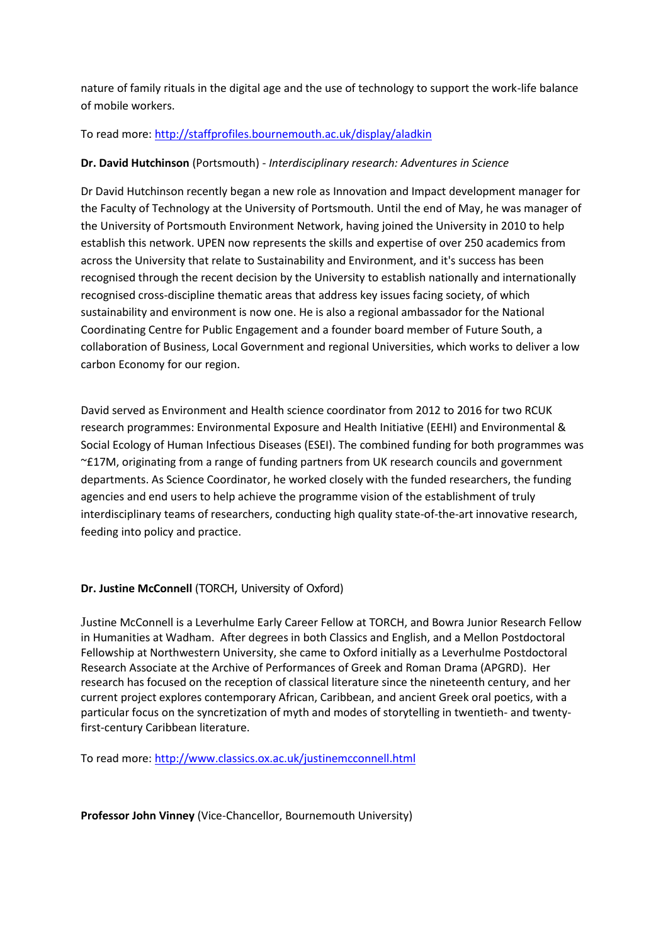nature of family rituals in the digital age and the use of technology to support the work-life balance of mobile workers.

# To read more:<http://staffprofiles.bournemouth.ac.uk/display/aladkin>

## **Dr. David Hutchinson** (Portsmouth) - *Interdisciplinary research: Adventures in Science*

Dr David Hutchinson recently began a new role as Innovation and Impact development manager for the Faculty of Technology at the University of Portsmouth. Until the end of May, he was manager of the University of Portsmouth Environment Network, having joined the University in 2010 to help establish this network. UPEN now represents the skills and expertise of over 250 academics from across the University that relate to Sustainability and Environment, and it's success has been recognised through the recent decision by the University to establish nationally and internationally recognised cross-discipline thematic areas that address key issues facing society, of which sustainability and environment is now one. He is also a regional ambassador for the National Coordinating Centre for Public Engagement and a founder board member of Future South, a collaboration of Business, Local Government and regional Universities, which works to deliver a low carbon Economy for our region.

David served as Environment and Health science coordinator from 2012 to 2016 for two RCUK research programmes: Environmental Exposure and Health Initiative (EEHI) and Environmental & Social Ecology of Human Infectious Diseases (ESEI). The combined funding for both programmes was ~£17M, originating from a range of funding partners from UK research councils and government departments. As Science Coordinator, he worked closely with the funded researchers, the funding agencies and end users to help achieve the programme vision of the establishment of truly interdisciplinary teams of researchers, conducting high quality state-of-the-art innovative research, feeding into policy and practice.

# **Dr. Justine McConnell** (TORCH, University of Oxford)

Justine McConnell is a Leverhulme Early Career Fellow at TORCH, and Bowra Junior Research Fellow in Humanities at Wadham. After degrees in both Classics and English, and a Mellon Postdoctoral Fellowship at Northwestern University, she came to Oxford initially as a Leverhulme Postdoctoral Research Associate at the Archive of Performances of Greek and Roman Drama (APGRD). Her research has focused on the reception of classical literature since the nineteenth century, and her current project explores contemporary African, Caribbean, and ancient Greek oral poetics, with a particular focus on the syncretization of myth and modes of storytelling in twentieth- and twentyfirst-century Caribbean literature.

To read more: <http://www.classics.ox.ac.uk/justinemcconnell.html>

#### **Professor John Vinney** (Vice-Chancellor, Bournemouth University)